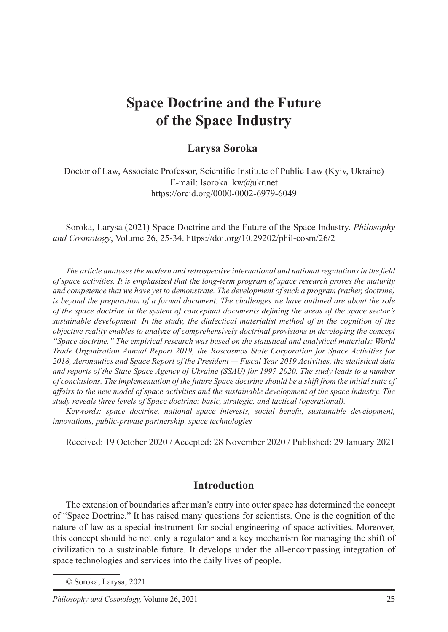# **Space Doctrine and the Future of the Space Industry**

## **Larysa Soroka**<sup>1</sup>

Doctor of Law, Associate Professor, Scientific Institute of Public Law (Kyiv, Ukraine) E-mail: lsoroka\_kw@ukr.net https://orcid.org/0000-0002-6979-6049

Soroka, Larysa (2021) Space Doctrine and the Future of the Space Industry. *Philosophy and Cosmology*, Volume 26, 25-34. https://doi.org/10.29202/phil-cosm/26/2

*The article analyses the modern and retrospective international and national regulations in the field of space activities. It is emphasized that the long-term program of space research proves the maturity and competence that we have yet to demonstrate. The development of such a program (rather, doctrine) is beyond the preparation of a formal document. The challenges we have outlined are about the role of the space doctrine in the system of conceptual documents defining the areas of the space sector's sustainable development. In the study, the dialectical materialist method of in the cognition of the objective reality enables to analyze of comprehensively doctrinal provisions in developing the concept "Space doctrine." The empirical research was based on the statistical and analytical materials: World Trade Organization Annual Report 2019, the Roscosmos State Corporation for Space Activities for 2018, Aeronautics and Space Report of the President — Fiscal Year 2019 Activities, the statistical data and reports of the State Space Agency of Ukraine (SSAU) for 1997-2020. The study leads to a number of conclusions. The implementation of the future Space doctrine should be a shift from the initial state of affairs to the new model of space activities and the sustainable development of the space industry. The study reveals three levels of Space doctrine: basic, strategic, and tactical (operational).*

*Keywords: space doctrine, national space interests, social benefit, sustainable development, innovations, public-private partnership, space technologies*

Received: 19 October 2020 / Accepted: 28 November 2020 / Published: 29 January 2021

### **Introduction**

The extension of boundaries after man's entry into outer space has determined the concept of "Space Doctrine." It has raised many questions for scientists. One is the cognition of the nature of law as a special instrument for social engineering of space activities. Moreover, this concept should be not only a regulator and a key mechanism for managing the shift of civilization to a sustainable future. It develops under the all-encompassing integration of space technologies and services into the daily lives of people.

<sup>©</sup> Soroka, Larysa, 2021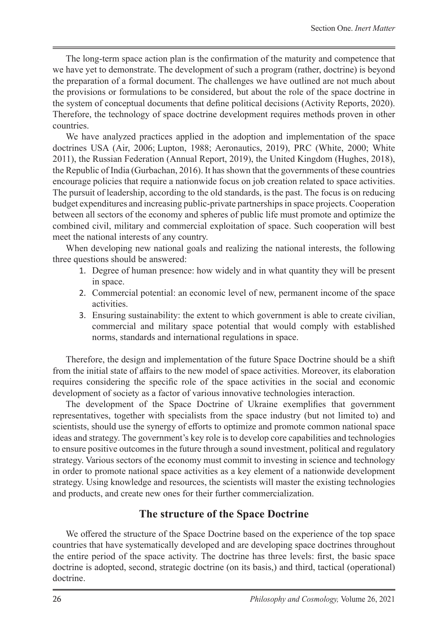The long-term space action plan is the confirmation of the maturity and competence that we have yet to demonstrate. The development of such a program (rather, doctrine) is beyond the preparation of a formal document. The challenges we have outlined are not much about the provisions or formulations to be considered, but about the role of the space doctrine in the system of conceptual documents that define political decisions (Activity Reports, 2020). Therefore, the technology of space doctrine development requires methods proven in other countries.

We have analyzed practices applied in the adoption and implementation of the space doctrines USA (Air, 2006; Lupton, 1988; Aeronautics, 2019), PRC (White, 2000; White 2011), the Russian Federation (Annual Report, 2019), the United Kingdom (Hughes, 2018), the Republic of India (Gurbachan, 2016). It has shown that the governments of these countries encourage policies that require a nationwide focus on job creation related to space activities. The pursuit of leadership, according to the old standards, is the past. The focus is on reducing budget expenditures and increasing public-private partnerships in space projects. Cooperation between all sectors of the economy and spheres of public life must promote and optimize the combined civil, military and commercial exploitation of space. Such cooperation will best meet the national interests of any country.

When developing new national goals and realizing the national interests, the following three questions should be answered:

- 1. Degree of human presence: how widely and in what quantity they will be present in space.
- 2. Commercial potential: an economic level of new, permanent income of the space activities.
- 3. Ensuring sustainability: the extent to which government is able to create civilian, commercial and military space potential that would comply with established norms, standards and international regulations in space.

Therefore, the design and implementation of the future Space Doctrine should be a shift from the initial state of affairs to the new model of space activities. Moreover, its elaboration requires considering the specific role of the space activities in the social and economic development of society as a factor of various innovative technologies interaction.

The development of the Space Doctrine of Ukraine exemplifies that government representatives, together with specialists from the space industry (but not limited to) and scientists, should use the synergy of efforts to optimize and promote common national space ideas and strategy. The government's key role is to develop core capabilities and technologies to ensure positive outcomes in the future through a sound investment, political and regulatory strategy. Various sectors of the economy must commit to investing in science and technology in order to promote national space activities as a key element of a nationwide development strategy. Using knowledge and resources, the scientists will master the existing technologies and products, and create new ones for their further commercialization.

## **The structure of the Space Doctrine**

We offered the structure of the Space Doctrine based on the experience of the top space countries that have systematically developed and are developing space doctrines throughout the entire period of the space activity. The doctrine has three levels: first, the basic space doctrine is adopted, second, strategic doctrine (on its basis,) and third, tactical (operational) doctrine.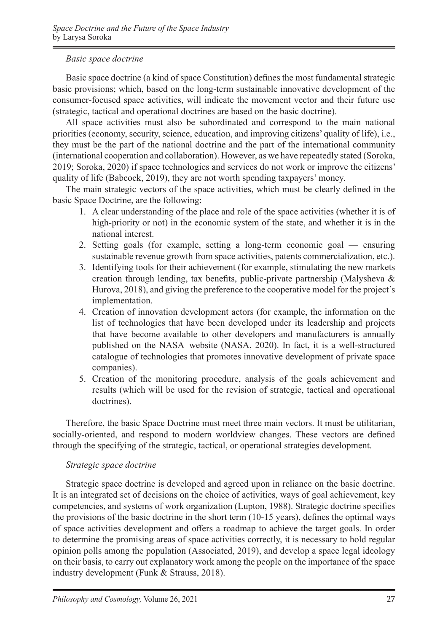#### *Basic space doctrine*

Basic space doctrine (a kind of space Constitution) defines the most fundamental strategic basic provisions; which, based on the long-term sustainable innovative development of the consumer-focused space activities, will indicate the movement vector and their future use (strategic, tactical and operational doctrines are based on the basic doctrine).

All space activities must also be subordinated and correspond to the main national priorities (economy, security, science, education, and improving citizens' quality of life), i.e., they must be the part of the national doctrine and the part of the international community (international cooperation and collaboration). However, as we have repeatedly stated (Soroka, 2019; Soroka, 2020) if space technologies and services do not work or improve the citizens' quality of life (Babcock, 2019), they are not worth spending taxpayers' money.

The main strategic vectors of the space activities, which must be clearly defined in the basic Space Doctrine, are the following:

- 1. A clear understanding of the place and role of the space activities (whether it is of high-priority or not) in the economic system of the state, and whether it is in the national interest.
- 2. Setting goals (for example, setting a long-term economic goal ensuring sustainable revenue growth from space activities, patents commercialization, etc.).
- 3. Identifying tools for their achievement (for example, stimulating the new markets creation through lending, tax benefits, public-private partnership (Malysheva & Hurova, 2018), and giving the preference to the cooperative model for the project's implementation.
- 4. Creation of innovation development actors (for example, the information on the list of technologies that have been developed under its leadership and projects that have become available to other developers and manufacturers is annually published on the NASA website (NASA, 2020). In fact, it is a well-structured catalogue of technologies that promotes innovative development of private space companies).
- 5. Creation of the monitoring procedure, analysis of the goals achievement and results (which will be used for the revision of strategic, tactical and operational doctrines).

Therefore, the basic Space Doctrine must meet three main vectors. It must be utilitarian, socially-oriented, and respond to modern worldview changes. These vectors are defined through the specifying of the strategic, tactical, or operational strategies development.

#### *Strategic space doctrine*

Strategic space doctrine is developed and agreed upon in reliance on the basic doctrine. It is an integrated set of decisions on the choice of activities, ways of goal achievement, key competencies, and systems of work organization (Lupton, 1988). Strategic doctrine specifies the provisions of the basic doctrine in the short term (10-15 years), defines the optimal ways of space activities development and offers a roadmap to achieve the target goals. In order to determine the promising areas of space activities correctly, it is necessary to hold regular opinion polls among the population (Associated, 2019), and develop a space legal ideology on their basis, to carry out explanatory work among the people on the importance of the space industry development (Funk & Strauss, 2018).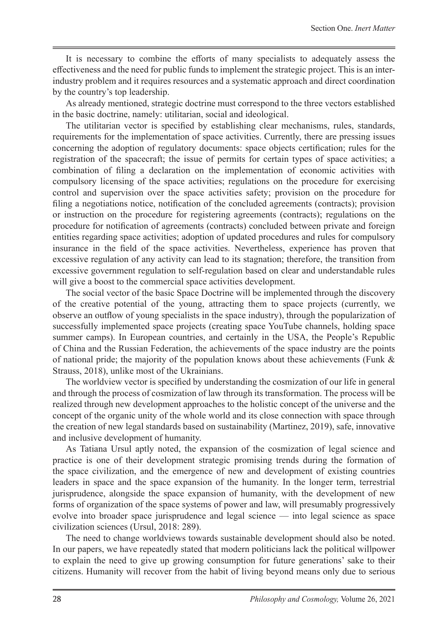It is necessary to combine the efforts of many specialists to adequately assess the effectiveness and the need for public funds to implement the strategic project. This is an interindustry problem and it requires resources and a systematic approach and direct coordination by the country's top leadership.

As already mentioned, strategic doctrine must correspond to the three vectors established in the basic doctrine, namely: utilitarian, social and ideological.

The utilitarian vector is specified by establishing clear mechanisms, rules, standards, requirements for the implementation of space activities. Currently, there are pressing issues concerning the adoption of regulatory documents: space objects certification; rules for the registration of the spacecraft; the issue of permits for certain types of space activities; a combination of filing a declaration on the implementation of economic activities with compulsory licensing of the space activities; regulations on the procedure for exercising control and supervision over the space activities safety; provision on the procedure for filing a negotiations notice, notification of the concluded agreements (contracts); provision or instruction on the procedure for registering agreements (contracts); regulations on the procedure for notification of agreements (contracts) concluded between private and foreign entities regarding space activities; adoption of updated procedures and rules for compulsory insurance in the field of the space activities. Nevertheless, experience has proven that excessive regulation of any activity can lead to its stagnation; therefore, the transition from excessive government regulation to self-regulation based on clear and understandable rules will give a boost to the commercial space activities development.

The social vector of the basic Space Doctrine will be implemented through the discovery of the creative potential of the young, attracting them to space projects (currently, we observe an outflow of young specialists in the space industry), through the popularization of successfully implemented space projects (creating space YouTube channels, holding space summer camps). In European countries, and certainly in the USA, the People's Republic of China and the Russian Federation, the achievements of the space industry are the points of national pride; the majority of the population knows about these achievements (Funk & Strauss, 2018), unlike most of the Ukrainians.

The worldview vector is specified by understanding the cosmization of our life in general and through the process of cosmization of law through its transformation. The process will be realized through new development approaches to the holistic concept of the universe and the concept of the organic unity of the whole world and its close connection with space through the creation of new legal standards based on sustainability (Martinez, 2019), safe, innovative and inclusive development of humanity.

As Tatiana Ursul aptly noted, the expansion of the cosmization of legal science and practice is one of their development strategic promising trends during the formation of the space civilization, and the emergence of new and development of existing countries leaders in space and the space expansion of the humanity. In the longer term, terrestrial jurisprudence, alongside the space expansion of humanity, with the development of new forms of organization of the space systems of power and law, will presumably progressively evolve into broader space jurisprudence and legal science — into legal science as space civilization sciences (Ursul, 2018: 289).

The need to change worldviews towards sustainable development should also be noted. In our papers, we have repeatedly stated that modern politicians lack the political willpower to explain the need to give up growing consumption for future generations' sake to their citizens. Humanity will recover from the habit of living beyond means only due to serious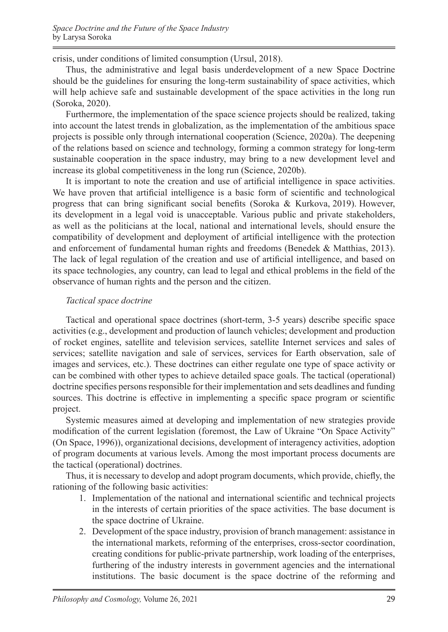crisis, under conditions of limited consumption (Ursul, 2018).

Thus, the administrative and legal basis underdevelopment of a new Space Doctrine should be the guidelines for ensuring the long-term sustainability of space activities, which will help achieve safe and sustainable development of the space activities in the long run (Soroka, 2020).

Furthermore, the implementation of the space science projects should be realized, taking into account the latest trends in globalization, as the implementation of the ambitious space projects is possible only through international cooperation (Science, 2020a). The deepening of the relations based on science and technology, forming a common strategy for long-term sustainable cooperation in the space industry, may bring to a new development level and increase its global competitiveness in the long run (Science, 2020b).

It is important to note the creation and use of artificial intelligence in space activities. We have proven that artificial intelligence is a basic form of scientific and technological progress that can bring significant social benefits (Soroka & Kurkova, 2019). However, its development in a legal void is unacceptable. Various public and private stakeholders, as well as the politicians at the local, national and international levels, should ensure the compatibility of development and deployment of artificial intelligence with the protection and enforcement of fundamental human rights and freedoms (Benedek & Matthias, 2013). The lack of legal regulation of the creation and use of artificial intelligence, and based on its space technologies, any country, can lead to legal and ethical problems in the field of the observance of human rights and the person and the citizen.

#### *Tactical space doctrine*

Tactical and operational space doctrines (short-term, 3-5 years) describe specific space activities (e.g., development and production of launch vehicles; development and production of rocket engines, satellite and television services, satellite Internet services and sales of services; satellite navigation and sale of services, services for Earth observation, sale of images and services, etc.). These doctrines can either regulate one type of space activity or can be combined with other types to achieve detailed space goals. The tactical (operational) doctrine specifies persons responsible for their implementation and sets deadlines and funding sources. This doctrine is effective in implementing a specific space program or scientific project.

Systemic measures aimed at developing and implementation of new strategies provide modification of the current legislation (foremost, the Law of Ukraine "On Space Activity" (On Space, 1996)), organizational decisions, development of interagency activities, adoption of program documents at various levels. Among the most important process documents are the tactical (operational) doctrines.

Thus, it is necessary to develop and adopt program documents, which provide, chiefly, the rationing of the following basic activities:

- 1. Implementation of the national and international scientific and technical projects in the interests of certain priorities of the space activities. The base document is the space doctrine of Ukraine.
- 2. Development of the space industry, provision of branch management: assistance in the international markets, reforming of the enterprises, cross-sector coordination, creating conditions for public-private partnership, work loading of the enterprises, furthering of the industry interests in government agencies and the international institutions. The basic document is the space doctrine of the reforming and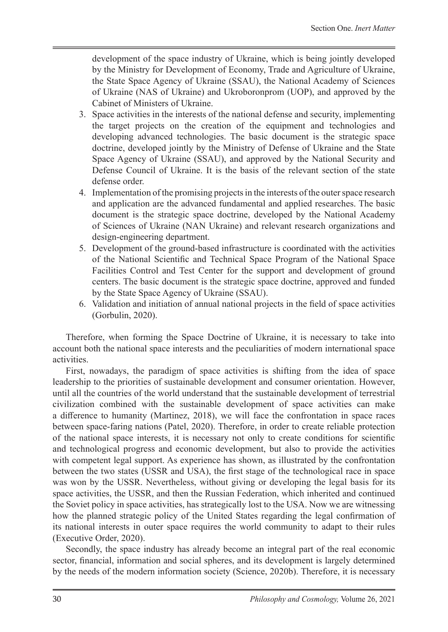development of the space industry of Ukraine, which is being jointly developed by the Ministry for Development of Economy, Trade and Agriculture of Ukraine, the State Space Agency of Ukraine (SSAU), the National Academy of Sciences of Ukraine (NAS of Ukraine) and Ukroboronprom (UOP), and approved by the Cabinet of Ministers of Ukraine.

- 3. Space activities in the interests of the national defense and security, implementing the target projects on the creation of the equipment and technologies and developing advanced technologies. The basic document is the strategic space doctrine, developed jointly by the Ministry of Defense of Ukraine and the State Space Agency of Ukraine (SSAU), and approved by the National Security and Defense Council of Ukraine. It is the basis of the relevant section of the state defense order.
- 4. Implementation of the promising projects in the interests of the outer space research and application are the advanced fundamental and applied researches. The basic document is the strategic space doctrine, developed by the National Academy of Sciences of Ukraine (NAN Ukraine) and relevant research organizations and design-engineering department.
- 5. Development of the ground-based infrastructure is coordinated with the activities of the National Scientific and Technical Space Program of the National Space Facilities Control and Test Center for the support and development of ground centers. The basic document is the strategic space doctrine, approved and funded by the State Space Agency of Ukraine (SSAU).
- 6. Validation and initiation of annual national projects in the field of space activities (Gorbulin, 2020).

Therefore, when forming the Space Doctrine of Ukraine, it is necessary to take into account both the national space interests and the peculiarities of modern international space activities.

First, nowadays, the paradigm of space activities is shifting from the idea of space leadership to the priorities of sustainable development and consumer orientation. However, until all the countries of the world understand that the sustainable development of terrestrial civilization combined with the sustainable development of space activities can make a difference to humanity (Martinez, 2018), we will face the confrontation in space races between space-faring nations (Patel, 2020). Therefore, in order to create reliable protection of the national space interests, it is necessary not only to create conditions for scientific and technological progress and economic development, but also to provide the activities with competent legal support. As experience has shown, as illustrated by the confrontation between the two states (USSR and USA), the first stage of the technological race in space was won by the USSR. Nevertheless, without giving or developing the legal basis for its space activities, the USSR, and then the Russian Federation, which inherited and continued the Soviet policy in space activities, has strategically lost to the USA. Now we are witnessing how the planned strategic policy of the United States regarding the legal confirmation of its national interests in outer space requires the world community to adapt to their rules (Executive Order, 2020).

Secondly, the space industry has already become an integral part of the real economic sector, financial, information and social spheres, and its development is largely determined by the needs of the modern information society (Science, 2020b). Therefore, it is necessary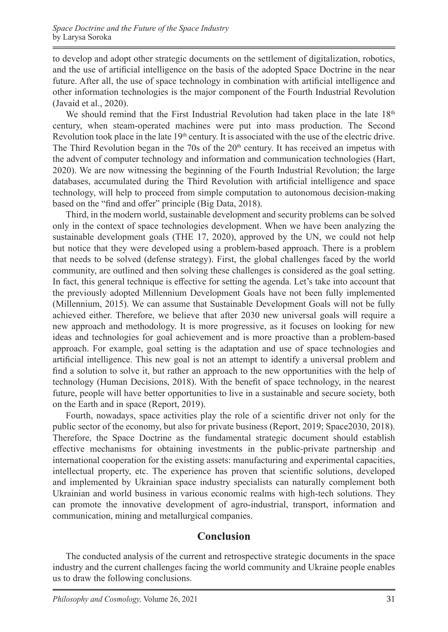to develop and adopt other strategic documents on the settlement of digitalization, robotics, and the use of artificial intelligence on the basis of the adopted Space Doctrine in the near future. After all, the use of space technology in combination with artificial intelligence and other information technologies is the major component of the Fourth Industrial Revolution (Javaid et al., 2020).

We should remind that the First Industrial Revolution had taken place in the late  $18<sup>th</sup>$ century, when steam-operated machines were put into mass production. The Second Revolution took place in the late 19<sup>th</sup> century. It is associated with the use of the electric drive. The Third Revolution began in the 70s of the  $20<sup>th</sup>$  century. It has received an impetus with the advent of computer technology and information and communication technologies (Hart, 2020). We are now witnessing the beginning of the Fourth Industrial Revolution; the large databases, accumulated during the Third Revolution with artificial intelligence and space technology, will help to proceed from simple computation to autonomous decision-making based on the "find and offer" principle (Big Data, 2018).

Third, in the modern world, sustainable development and security problems can be solved only in the context of space technologies development. When we have been analyzing the sustainable development goals (THE 17, 2020), approved by the UN, we could not help but notice that they were developed using a problem-based approach. There is a problem that needs to be solved (defense strategy). First, the global challenges faced by the world community, are outlined and then solving these challenges is considered as the goal setting. In fact, this general technique is effective for setting the agenda. Let's take into account that the previously adopted Millennium Development Goals have not been fully implemented (Millennium, 2015). We can assume that Sustainable Development Goals will not be fully achieved either. Therefore, we believe that after 2030 new universal goals will require a new approach and methodology. It is more progressive, as it focuses on looking for new ideas and technologies for goal achievement and is more proactive than a problem-based approach. For example, goal setting is the adaptation and use of space technologies and artificial intelligence. This new goal is not an attempt to identify a universal problem and find a solution to solve it, but rather an approach to the new opportunities with the help of technology (Human Decisions, 2018). With the benefit of space technology, in the nearest future, people will have better opportunities to live in a sustainable and secure society, both on the Earth and in space (Report, 2019).

Fourth, nowadays, space activities play the role of a scientific driver not only for the public sector of the economy, but also for private business (Report, 2019; Space2030, 2018). Therefore, the Space Doctrine as the fundamental strategic document should establish effective mechanisms for obtaining investments in the public-private partnership and international cooperation for the existing assets: manufacturing and experimental capacities, intellectual property, etc. The experience has proven that scientific solutions, developed and implemented by Ukrainian space industry specialists can naturally complement both Ukrainian and world business in various economic realms with high-tech solutions. They can promote the innovative development of agro-industrial, transport, information and communication, mining and metallurgical companies.

# **Conclusion**

The conducted analysis of the current and retrospective strategic documents in the space industry and the current challenges facing the world community and Ukraine people enables us to draw the following conclusions.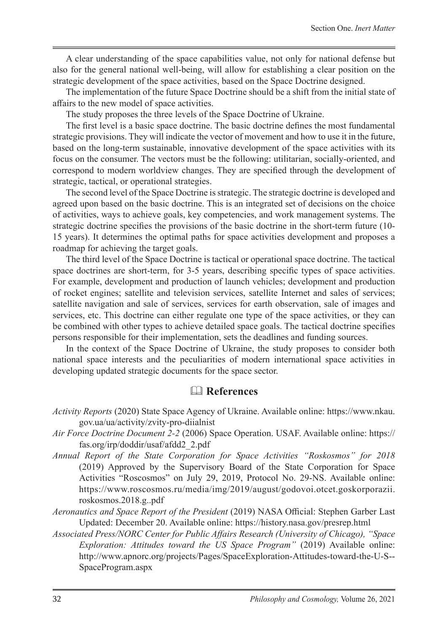A clear understanding of the space capabilities value, not only for national defense but also for the general national well-being, will allow for establishing a clear position on the strategic development of the space activities, based on the Space Doctrine designed.

The implementation of the future Space Doctrine should be a shift from the initial state of affairs to the new model of space activities.

The study proposes the three levels of the Space Doctrine of Ukraine.

The first level is a basic space doctrine. The basic doctrine defines the most fundamental strategic provisions. They will indicate the vector of movement and how to use it in the future, based on the long-term sustainable, innovative development of the space activities with its focus on the consumer. The vectors must be the following: utilitarian, socially-oriented, and correspond to modern worldview changes. They are specified through the development of strategic, tactical, or operational strategies.

The second level of the Space Doctrine is strategic. The strategic doctrine is developed and agreed upon based on the basic doctrine. This is an integrated set of decisions on the choice of activities, ways to achieve goals, key competencies, and work management systems. The strategic doctrine specifies the provisions of the basic doctrine in the short-term future (10- 15 years). It determines the optimal paths for space activities development and proposes a roadmap for achieving the target goals.

The third level of the Space Doctrine is tactical or operational space doctrine. The tactical space doctrines are short-term, for 3-5 years, describing specific types of space activities. For example, development and production of launch vehicles; development and production of rocket engines; satellite and television services, satellite Internet and sales of services; satellite navigation and sale of services, services for earth observation, sale of images and services, etc. This doctrine can either regulate one type of the space activities, or they can be combined with other types to achieve detailed space goals. The tactical doctrine specifies persons responsible for their implementation, sets the deadlines and funding sources.

In the context of the Space Doctrine of Ukraine, the study proposes to consider both national space interests and the peculiarities of modern international space activities in developing updated strategic documents for the space sector.

# **References**

- *Activity Reports* (2020) State Space Agency of Ukraine. Available online: https://www.nkau. gov.ua/ua/activity/zvity-pro-diialnist
- *Air Force Doctrine Document 2-2* (2006) Space Operation. USAF. Available online: https:// fas.org/irp/doddir/usaf/afdd2\_2.pdf
- *Annual Report of the State Corporation for Space Activities "Roskosmos" for 2018* (2019) Approved by the Supervisory Board of the State Corporation for Space Activities "Roscosmos" on July 29, 2019, Protocol No. 29-NS. Available online: https://www.roscosmos.ru/media/img/2019/august/godovoi.otcet.goskorporazii. roskosmos.2018.g..pdf
- *Aeronautics and Space Report of the President* (2019) NASA Official: Stephen Garber Last Updated: December 20. Available online: https://history.nasa.gov/presrep.html
- *Associated Press/NORC Center for Public Affairs Research (University of Chicago), "Space Exploration: Attitudes toward the US Space Program"* (2019) Available online: http://www.apnorc.org/projects/Pages/SpaceExploration-Attitudes-toward-the-U-S-- SpaceProgram.aspx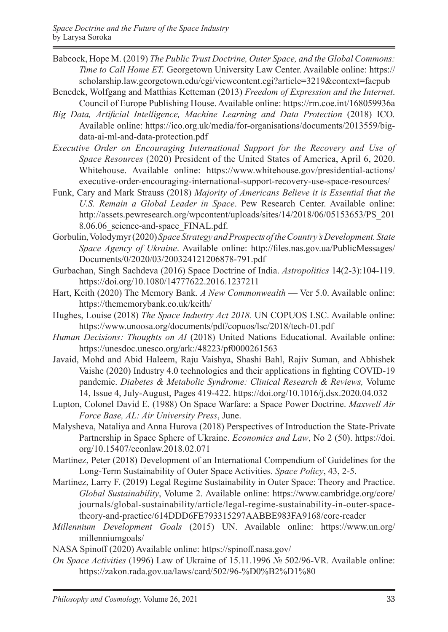- Babcock, Hope M. (2019) *The Public Trust Doctrine, Outer Space, and the Global Commons: Time to Call Home ET.* Georgetown University Law Center. Available online: https:// scholarship.law.georgetown.edu/cgi/viewcontent.cgi?article=3219&context=facpub
- Benedek, Wolfgang and Matthias Ketteman (2013) *Freedom of Expression and the Internet*. Council of Europe Publishing House. Available online: https://rm.coe.int/168059936a
- *Big Data, Artificial Intelligence, Machine Learning and Data Protection* (2018) ICO*.* Available online: https://ico.org.uk/media/for-organisations/documents/2013559/bigdata-ai-ml-and-data-protection.pdf
- *Executive Order on Encouraging International Support for the Recovery and Use of Space Resources* (2020) President of the United States of America, April 6, 2020. Whitehouse. Available online: https://www.whitehouse.gov/presidential-actions/ executive-order-encouraging-international-support-recovery-use-space-resources/
- Funk, Cary and Mark Strauss (2018) *Majority of Americans Believe it is Essential that the U.S. Remain a Global Leader in Space*. Pew Research Center. Available online: http://assets.pewresearch.org/wpcontent/uploads/sites/14/2018/06/05153653/PS\_201 8.06.06 science-and-space FINAL.pdf.
- Gorbulin, Volodymyr (2020) *Space Strategy and Prospects of the Country's Development. State Space Agency of Ukraine*. Available online: http://files.nas.gov.ua/PublicMessages/ Documents/0/2020/03/200324121206878-791.pdf
- Gurbachan, Singh Sachdeva (2016) Space Doctrine of India. *Astropolitics* 14(2-3):104-119. https://doi.org/10.1080/14777622.2016.1237211
- Hart, Keith (2020) The Memory Bank. *A New Commonwealth* Ver 5.0. Available online: https://thememorybank.co.uk/keith/
- Hughes, Louise (2018) *The Space Industry Act 2018.* UN COPUOS LSC. Available online: https://www.unoosa.org/documents/pdf/copuos/lsc/2018/tech-01.pdf
- *Human Decisions: Thoughts on AI* (2018) United Nations Educational. Available online: https://unesdoc.unesco.org/ark:/48223/pf0000261563
- Javaid, Mohd and Abid Haleem, Raju Vaishya, Shashi Bahl, Rajiv Suman, and Abhishek Vaishe (2020) Industry 4.0 technologies and their applications in fighting COVID-19 pandemic. *Diabetes & Metabolic Syndrome: Clinical Research & Reviews,* Volume 14, Issue 4, July-August, Pages 419-422. https://doi.org/10.1016/j.dsx.2020.04.032
- Lupton, Colonel David E. (1988) On Space Warfare: a Space Power Doctrine. *Maxwell Air Force Base, AL: Air University Press*, June.
- Malysheva, Nataliya and Anna Hurova (2018) Perspectives of Introduction the State-Private Partnership in Space Sphere of Ukraine. *Economics and Law*, No 2 (50). https://doi. org/10.15407/econlaw.2018.02.071
- Martinez, Peter (2018) Development of an International Compendium of Guidelines for the Long-Term Sustainability of Outer Space Activities. *Space Policy*, 43, 2-5.
- Martinez, Larry F. (2019) Legal Regime Sustainability in Outer Space: Theory and Practice. *Global Sustainability*, Volume 2. Available online: https://www.cambridge.org/core/ journals/global-sustainability/article/legal-regime-sustainability-in-outer-spacetheory-and-practice/614DDD6FE793315297AABBE983FA9168/core-reader
- *Millennium Development Goals* (2015) UN. Available online: https://www.un.org/ millenniumgoals/
- NASA Spinoff (2020) Available online: https://spinoff.nasa.gov/
- *On Space Activities* (1996) Law of Ukraine of 15.11.1996 № 502/96-VR. Available online: https://zakon.rada.gov.ua/laws/card/502/96-%D0%B2%D1%80